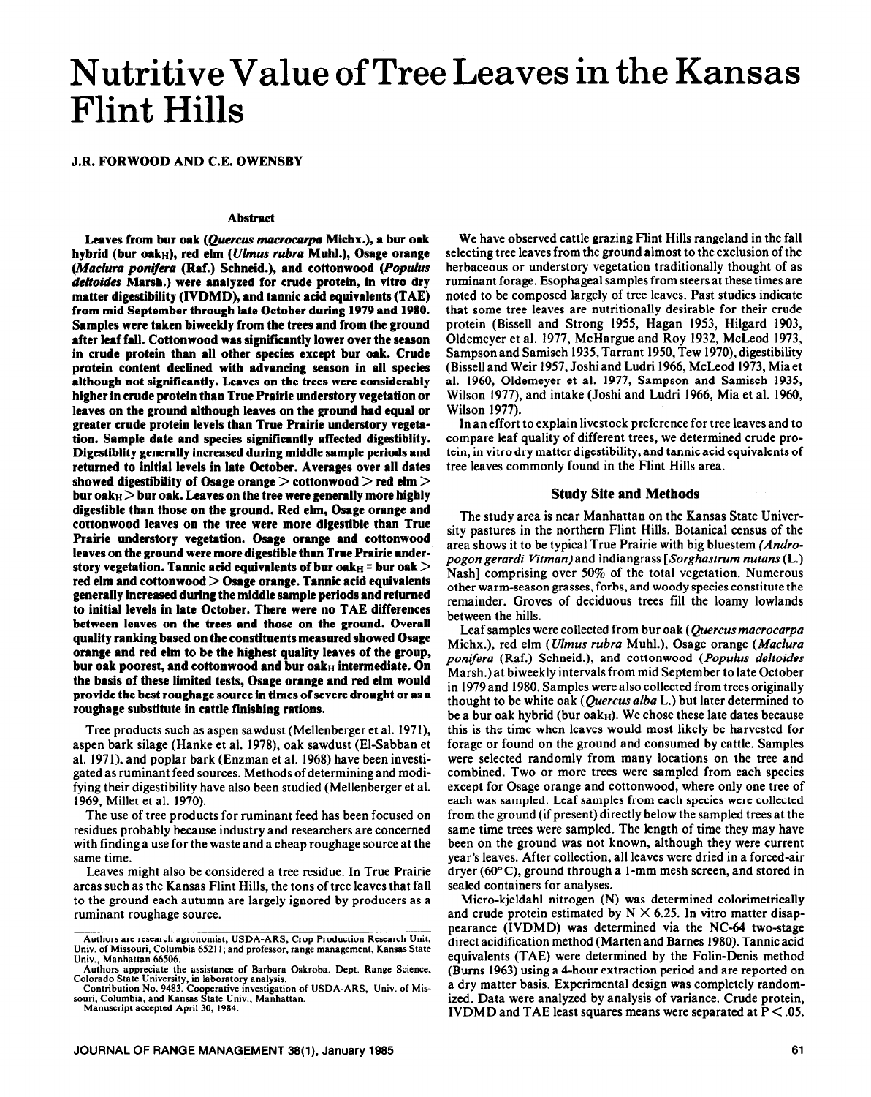# Nutritive Value of Tree Leaves in the Kansas **Flint Hills**

**JR. FORWOOD AND C.E. OWENSBY** 

#### **Abstract**

Leaves from bur oak (Quercus macrocarpa Michx.), a bur oak **hybrid (bur oaku), red elm (Ubnus** *rubra* **Muhl.), Osage orange**  *(Maclura ponifera (Raf.) Schneid.), and cottonwood (Populus deitoides* **Marsh.) were analyxed for crude protein, in vitro dry matter digestibility (IVDMD), and tannic acid equivalents (TAE) from mid September through late October during 1979 and 1980. Samples were taken biweekly from the trees and from the ground after leaf fall. Cottonwood was significantly lower over the season in crude protein than all other species except bur oak. Crude protein content declined with advancing season in** all **species although not significantly. Leaves on the trees were considerably higher in crude protein than True Prairie understory vegetation or leaves on the ground although leaves on the ground had equal or greater crude protein levels than True Prairie understory vegetation. Sample date and species significantly affected digestiblity. Digestiblity generally increased during middle sample periods and returned to initial levels in late October. Averages over all dates showed digestibility of Osage orange > cottonwood > red elm >**   $\textbf{b}$ ur oak $_{\text{H}}$   $>$  bur oak. Leaves on the tree were generally more highly **digestible than those on the ground. Red elm, Osage orange and cottonwood leaves on the tree were more digestible than True Prairie understory vegetation. Osage orange and cottonwood leaves on the ground were more digestible than True Prairie under**story vegetation. Tannic acid equivalents of bur oak $H =$ bur oak  $>$ red elm and cottonwood  $>$  Osage orange. Tannic acid equivalents **generally increased during the middle sample periods and returned to initial levels in late October. There were no TAE differences between leaves on the trees and those on the ground. Overall quality ranking based on the constituents measured showed Osage orange and red elm to be the highest quality leaves of the group,**  bur oak poorest, and cottonwood and bur oak<sub>H</sub> intermediate. On **the basis of these limited tests, Osage orange and red elm would provide the best roughage source in times of severe drought or as a roughage substitute in cattle finishing rations.** 

Tree products such as aspen sawdust (Mellenberger et al. 1971), aspen bark silage (Hanke et al. 1978), oak sawdust (El-Sabban et al. 1971), and poplar bark (Enzman et al. 1968) have been investigated as ruminant feed sources. Methods of determining **and** modifying their digestibility have also been studied (Mellenberger et al. 1969, Millet et al. 1970).

The use of tree products for ruminant feed has been focused on residues probably because industry and researchers are concerned with finding a use for the waste and a cheap roughage source at the same time.

Leaves might also be considered a tree residue. In True Prairie areas such as the Kansas Flint Hills, the tons of tree leaves that fall to the ground each autumn are largely ignored by producers as a ruminant roughage source.

**Manuscript accepted April 30, 1984.** 

herbaceous or understory vegetation traditionally thought of as ruminant forage. Esophageal samples from steers at these times are noted to be composed largely of tree leaves. Past studies indicate that some tree leaves are nutritionally desirable for their crude protein (Bissell and Strong 1955, Hagan 1953, Hilgard 1903, Oldemeyer et al. 1977, McHargue and Roy 1932, McLeod 1973, Sampsonand Samisch 1935, Tarrant 1950, Tew 1970), digestibility (Bissell and Weir 1957, Joshi and Ludri 1966, McLeod 1973, Mia et al. 1960, Oldemeyer et al. 1977, Sampson and Samisch 1935, Wilson 1977), and intake (Joshi and Ludri 1966, Mia et al. 1960, Wilson 1977). In an effort to explain livestock preference for tree leaves and to

compare leaf quality of different trees, we determined crude protein, in vitro dry matter digestibility, and tannic acid equivalents of tree leaves commonly found in the Flint Hills area.

We have observed cattle grazing Flint Hills rangeland in the fall selecting tree leaves from the ground almost to the exclusion of the

#### **Study Site and Methods**

The study area is near Manhattan on the Kansas State University pastures in the northern Flint Hills. Botanical census of the area shows it to be typical True Prairie with big bluestem *(Andropogon gerardi Vitman)* and indiangrass *[Sorghastrum nutans* (L.) Nash] comprising over 50% of the total vegetation. Numerous other warm-season grasses, forbs, and woody species constitute the remainder. Groves of deciduous trees fill the loamy lowlands between the hills.

Leaf samples were collected from bur oak (Quercus *macrocarpa*  Michx.), red elm *(Ulmus rubra* Muhl.), Osage orange *(Maclura ponifera* (Raf.) Schneid.), and cottonwood *(Populus deltoides*  Marsh.) at biweekly intervals from mid September to late October in 1979 and 1980. Samples were also collected from trees originally thought to be white oak *(Quercus alba* L.) but later determined to be a bur oak hybrid (bur oak $_{\rm H}$ ). We chose these late dates because this is the time when leaves would most likely be harvested for forage or found on the ground and consumed by cattle. Samples were selected randomly from many locations on the tree and combined. Two or more trees were sampled from each species except for Osage orange and cottonwood, where only one tree of each was sampled. Leaf samples from each species were collected from the ground (if present) directly below the sampled trees at the same time trees were sampled. The length of time they may have been on the ground was not known, although they were current year's leaves. After collection, all leaves were dried in a forced-air dryer (60°C), ground through a I-mm mesh screen, and stored in sealed containers for analyses.

Micro-kjeldahl nitrogen (N) was determined calorimetrically and crude protein estimated by  $N \times 6.25$ . In vitro matter disappearance (IVDMD) was determined via the NC-64 two-stage direct acidification method (Marten and Barnes 1980). Tannic acid equivalents (TAE) were determined by the Folin-Denis method (Burns 1963) using a 4-hour extraction period and are reported on a dry matter basis. Experimental design was completely randomized. Data were analyzed by analysis of variance. Crude protein, IVDMD and TAE least squares means were separated at  $P < .05$ .

**Authors are research agronomist, USDA-AR& Crop Production Research Unit, Univ. of Missouri, Columbia 6521 I; and professor, range management, Kansas State Univ., Manhattan 66506.** 

**Authors appreciate the assistance of Barbara Oskroba. Dept. Range Science, Colorado State University, in laboratory analysis. Contribution No. 9483. Cooperative investigation of USDA-AR& Univ. of Mis-**

souri, Columbia, and Kansas State Univ., Manhattan.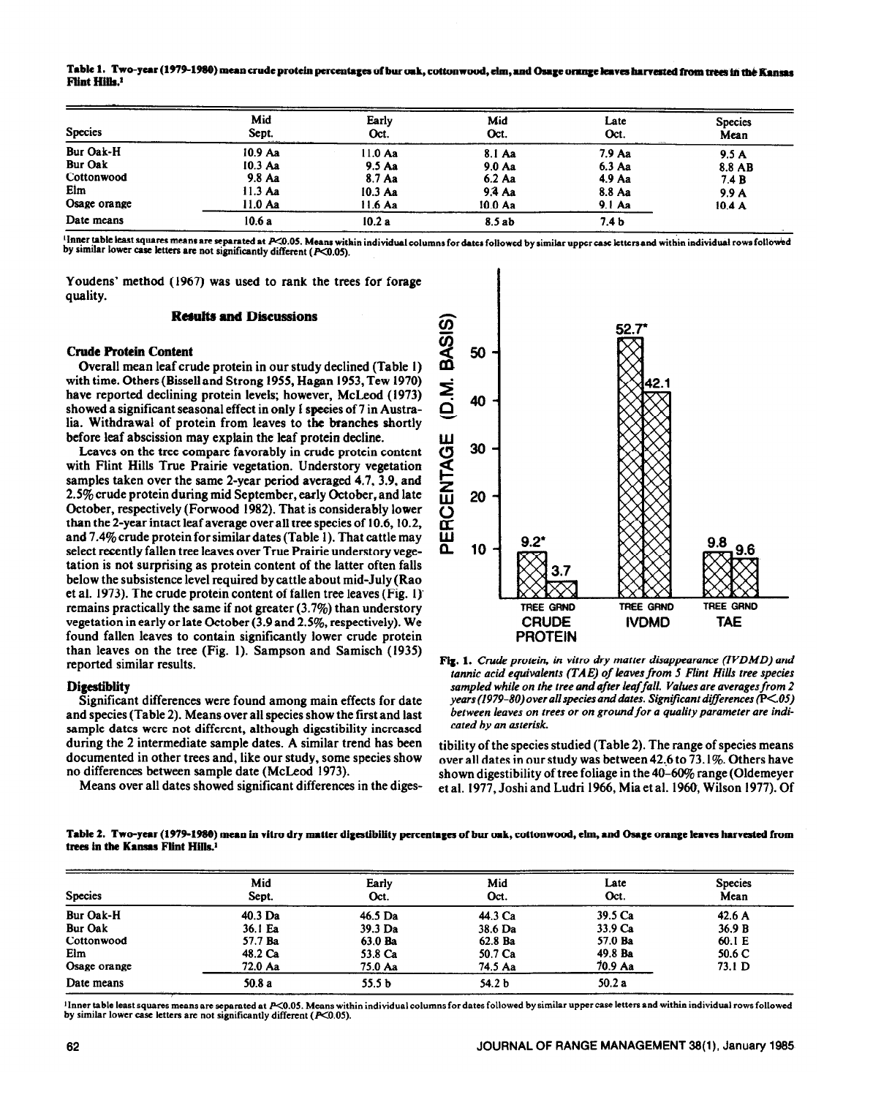Table 1. Two-year (1979-1980) mean crude protein percentages of bur oak, cottonwood, elm, and Osage orange leaves harvested from trees in the Kansas Flint Hills.<sup>1</sup>

| <b>Species</b>   | Mid<br>Sept.       | Early<br>Oct. | Mid<br>Oct. | Late<br>Oct.     | <b>Species</b><br>Mean |
|------------------|--------------------|---------------|-------------|------------------|------------------------|
| <b>Bur Oak-H</b> | 10.9 <sub>Aa</sub> | 11.0 Aa       | 8.1 Aa      | 7.9 Aa           | 9.5A                   |
| Bur Oak          | 10.3 <sub>Aa</sub> | 9.5Aa         | 9.0 Aa      | $6.3$ Aa         | 8.8 AB                 |
| Cottonwood       | $9.8$ Aa           | $8.7$ Aa      | $6.2$ Aa    | $4.9$ Aa         | 7.4 B                  |
| Elm              | 11.3 Aa            | $10.3$ Aa     | $9.4$ Aa    | 8.8 Aa           | 9.9 A                  |
| Osage orange     | 11.0 Aa            | $11.6$ Aa     | 10.0 Aa     | $9.1$ Aa         | 10.4A                  |
| Date means       | 10.6a              | 10.2a         | 8.5 ab      | 7.4 <sub>b</sub> |                        |

Inner table least squares means are separated at P<0.05. Means within individual columns for dates followed by similar upper case letters and within individual rows followed by similar lower case letters are not significantly different (P<0.05).

Youdens' method **(1967)** was used to rank the trees for forage quality.

#### **RamIts md Discussions**

## **Crude Protein Content**

Overall mean leaf crude protein in our study declined (Table 1) with time. Others (Bissell and Strong 1955, Hagan 1953, Tew 1970) have reported declining protein levels; however, McLeod (1973) showed a significant seasonal effect in only 1 species of 7 in Australia. Withdrawal of protein from leaves to the **branches** shortly before leaf abscission may explain the leaf protein decline.

Leaves on the tree compare favorably in crude protein content with Flint Hills True Prairie vegetation. Understory vegetation samples taken over the same 2-year period averaged 4.7, 3.9, and 2.5% crude protein during mid September, early October, and late October, respectively (Forwood 1982). That is considerably lower than the 2-year intact leaf average over all tree species of 10.6, 10.2, and 7.4% crude protein for similar dates (Table 1). That cattle may select recently fallen tree leaves over True Prairie understoryvegetation is not surprising as protein content of the latter often falls below the subsistence level required by cattle about mid-July (Rao et al. 1973). The crude protein content of fallen tree leaves (Fig. 1) remains practically the same if not greater (3.7%) than understory vegetation in early or late October (3.9 and 2.5%, respectively). We found fallen leaves to contain significantly lower crude protein than leaves on the tree (Fig. 1). Sampson and Samisch (1935) reported similar results.

## **Digestiblity**

Significant differences were found among main effects for date and species (Table 2). Means over all species show the first and last sample dates were not different, although digestibility increased during the 2 intermediate sample dates. A similar trend has been documented in other trees and, like our study, some species show no differences between sample date (McLeod 1973).

Means over all dates showed significant differences in the diges-





tibility of the species studied (Table 2). The range of species means over all dates in our study was between 42.6 to 73.1%. Others have shown digestibility of tree foliage in the 40-60% range (Oldemeyer et al. 1977, Joshi and Ludri 1966, Mia et al. 1960, Wilson 1977). Of

Table 2. Two-year (1979-1980) mean in vitro dry matter digestibility percentages of bur oak, cottonwood, elm, and Osage orange leaves harvested from **trees in the Kansas Flint Hills**.<sup>1</sup>

| <b>Species</b>   | Mid<br>Sept. | Early<br>Oct. | Mid<br>Oct.       | Late<br>Oct. | <b>Species</b><br>Mean |
|------------------|--------------|---------------|-------------------|--------------|------------------------|
| <b>Bur Oak-H</b> | 40.3 Da      | 46.5 Da       | 44.3 Ca           | 39.5 Ca      | 42.6 A                 |
| <b>Bur Oak</b>   | 36.1 Ea      | 39.3 Da       | 38.6 Da           | 33.9 Ca      | 36.9 B                 |
| Cottonwood       | 57.7 Ba      | 63.0 Ba       | 62.8 Ba           | 57.0 Ba      | 60.I E                 |
| Elm              | 48.2 Ca      | 53.8 Ca       | 50.7 Ca           | 49.8 Ba      | 50.6 C                 |
| Osage orange     | 72.0 Aa      | 75.0 Aa       | 74.5 Aa           | 70.9 Aa      | 73.1 D                 |
| Date means       | 50.8 a       | 55.5 b        | 54.2 <sub>b</sub> | 50.2a        |                        |

Inner table least squares means are separated at P<0.05. Means within individual columns for dates followed by similar upper case letters and within individual rows followed by similar lower case letters are not significantly different (P<0.05).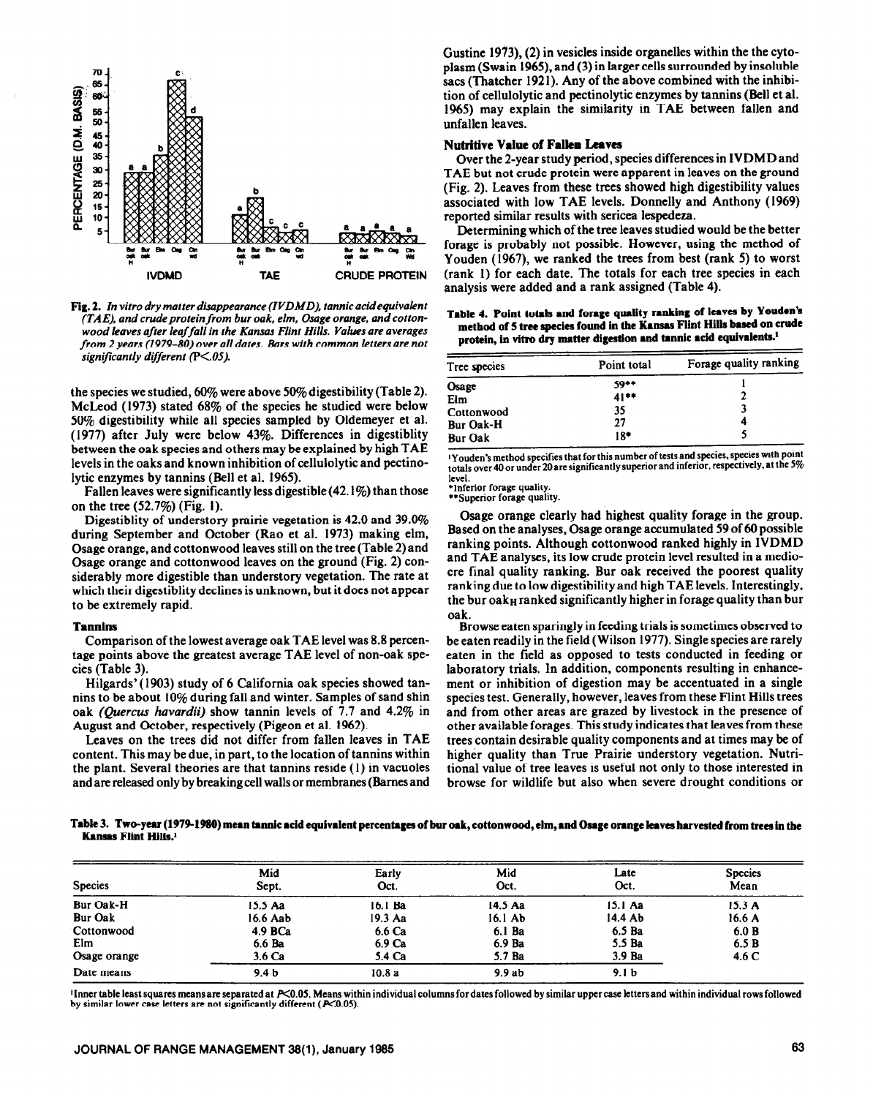

**Fig. 2.** *In vitro dry motter disappeoronce (IVDMD). tonnic acid equivalent (TAE). and* crude *protein from bur oak, elm, Osage orange, ond cottonwood leaves ofter leoffoll in the* Konsos *Flint Hills. Volues are averages from 2 years (1979-80) over all dates. Bars with common letters are not* significantly different (P<.05).

the species we studied, 60% were above 50% digestibility (Table 2). McLeod (1973) stated 68% of the species he studied were below 50% digestibility while all species sampled by Oldemeyer et al. (1977) after July were below 43%. Differences in digestiblity between the oak species and others may be explained by high TAE levels in the oaks and known inhibition of cellulolytic and pectinolytic enzymes by tannins (Bell et al. 1965).

Fallen leaves were significantly less digestible (42.1%) than those on the tree (52.7%) (Fig. 1).

Digestiblity of understory prairie vegetation is 42.0 and 39.0% during September and October (Rao et al. 1973) making elm, Osage orange, and cottonwood leaves still on the tree (Table 2) and Osage orange and cottonwood leaves on the ground (Fig. 2) considerably more digestible than understory vegetation. The rate at which their digestiblity declines is unknown, but it does not appear to be extremely rapid.

#### Tannins

Comparison of the lowest average oak TAE level was 8.8 percentage points above the greatest average TAE level of non-oak species (Table 3).

Hilgards' ( 1903) study of 6 California oak species showed tannins to be about 10% during fall and winter. Samples of sand shin oak (Quercus *havardii)* show tannin levels of 7.7 and 4.2% in August and October, respectively (Pigeon et al. 1962).

Leaves on the trees did not differ from fallen leaves in TAE content. This may be due, in part, to the location of tannins within the plant. Several theories are that tannins reside (1) in vacuoles and are released only by breaking cell walls or membranes (Barnes and Gustine 1973), (2) in vesicles inside organelles within the the cytoplasm (Swain 1965), and (3) in larger cells surrounded by insoluble sacs (Thatcher 1921). Any of the above combined with the inhibition of cellulolytic and pectinolytic enzymes by tannins (Bell et al. 1965) may explain the similarity in TAE between fallen and unfallen leaves.

## Nutritive **Value of** Falkn Leaves

Over the 2-year study period, species differences in IVDMD and TAE but not crude protein were apparent in leaves on the ground (Fig. 2). Leaves from these trees showed high digestibility values associated with low TAE levels. Donnelly and Anthony (1969) reported similar results with sericea lespedeza.

Determining which of the tree leaves studied would be the better forage is probably not possible. However, using the method of Youden (1967), we ranked the trees from best (rank 5) to worst (rank 1) for each date. The totals for each tree species in each analysis were added and a rank assigned (Table 4).

Table 4. Point totals and forage quality ranking of leaves by Youden's method of 5 tree species found in the Kansas Flint Hills based on crude protein, in vitro dry matter digestion and tannic acid equivalents.<sup>1</sup>

| Tree species     | Point total | Forage quality ranking |
|------------------|-------------|------------------------|
| Osage            | 59**        |                        |
| Elm              | $41***$     | 2                      |
| Cottonwood       | 35          |                        |
| <b>Bur Oak-H</b> | 27          | 4                      |
| <b>Bur Oak</b>   | $18*$       |                        |

I you&n's method **specifies that for this number of tests and species, species with Point totals over 40 or under 20 are significantly superior and inferior, respectively, at the 5% level.** 

**\*inferior forage quality.** 

**\*\*Superior forage quality.** 

Osage orange clearly had highest quality forage in the group. Based on the analyses, Osage orange accumulated 59 of 60 possible ranking points. Although cottonwood ranked highly in IVDMD and TAE analyses, its low crude protein level resulted in a mediocre final quality ranking. Bur oak received the poorest quality ranking due to low digestibility and high TAE levels. Interestingly, the bur oak<sub>H</sub> ranked significantly higher in forage quality than bur oak.

Browse eaten sparingly in feeding trials is sometimes observed to be eaten readily in the field (Wilson 1977). Single species are rarely eaten in the field as opposed to tests conducted in feeding or laboratory trials. In addition, components resulting in enhancement or inhibition of digestion may be accentuated in a single species test. Generally, however, leaves from these Flint Hills trees and from other areas are grazed by livestock in the presence of other available forages. This study indicates that leaves from these trees contain desirable quality components and at times may be of higher quality than True Prairie understory vegetation. Nutritional value of tree leaves is useful not only to those interested in browse for wildlife but also when severe drought conditions or

Table 3. Two-year (1979-1980) mean tannic acid equivalent percentages of bur oak, cottonwood, elm, and Osage orange leaves harvested from trees in the **Kansas Flint Hills.**<sup>1</sup>

| <b>Species</b>   | Mid<br>Sept.       | Early<br>Oct. | Mid<br>Oct. | Late<br>Oct.      | <b>Species</b><br>Mean |
|------------------|--------------------|---------------|-------------|-------------------|------------------------|
| <b>Bur Oak-H</b> | 15.5 Aa            | 16.1 Ba       | 14.5 Aa     | 15.1 Aa           | 15.3A                  |
| <b>Bur Oak</b>   | 16.6 Aab           | 19.3 Aa       | 16.1 Ab     | 14.4 Ab           | 16.6A                  |
| Cottonwood       | 4.9 <sub>BCa</sub> | 6.6 Ca        | 6.1 Ba      | 6.5 <sub>Ba</sub> | 6.0 B                  |
| Elm              | 6.6 Ba             | 6.9 Ca        | 6.9 Ba      | 5.5 Ba            | 6.5 B                  |
| Osage orange     | 3.6 Ca             | 5.4 Ca        | 5.7 Ba      | 3.9 <sub>Ba</sub> | 4.6 C                  |
| Date means       | 9.4 <sub>b</sub>   | 10.8a         | 9.9ab       | 9.1 <sub>b</sub>  |                        |

<sup>1</sup> Inner table least squares means are separated at P<0.05. Means within individual columns for dates followed by similar upper case letters and within individual rows followed by similar lower case letters are not significantly different (P<0.05).